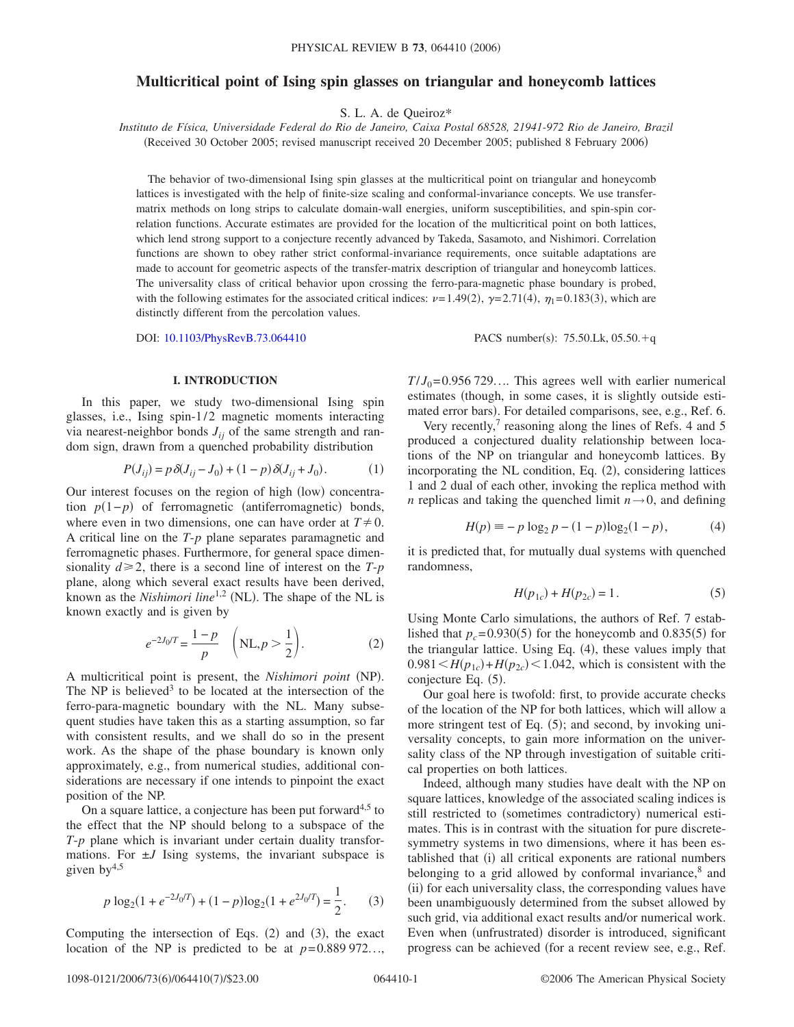# **Multicritical point of Ising spin glasses on triangular and honeycomb lattices**

S. L. A. de Queiroz\*

*Instituto de Física, Universidade Federal do Rio de Janeiro, Caixa Postal 68528, 21941-972 Rio de Janeiro, Brazil*

(Received 30 October 2005; revised manuscript received 20 December 2005; published 8 February 2006)

The behavior of two-dimensional Ising spin glasses at the multicritical point on triangular and honeycomb lattices is investigated with the help of finite-size scaling and conformal-invariance concepts. We use transfermatrix methods on long strips to calculate domain-wall energies, uniform susceptibilities, and spin-spin correlation functions. Accurate estimates are provided for the location of the multicritical point on both lattices, which lend strong support to a conjecture recently advanced by Takeda, Sasamoto, and Nishimori. Correlation functions are shown to obey rather strict conformal-invariance requirements, once suitable adaptations are made to account for geometric aspects of the transfer-matrix description of triangular and honeycomb lattices. The universality class of critical behavior upon crossing the ferro-para-magnetic phase boundary is probed, with the following estimates for the associated critical indices:  $\nu = 1.49(2)$ ,  $\gamma = 2.71(4)$ ,  $\eta_1 = 0.183(3)$ , which are distinctly different from the percolation values.

DOI: [10.1103/PhysRevB.73.064410](http://dx.doi.org/10.1103/PhysRevB.73.064410)

PACS number(s):  $75.50$ .Lk,  $05.50 + q$ 

# **I. INTRODUCTION**

In this paper, we study two-dimensional Ising spin glasses, i.e., Ising spin-1/2 magnetic moments interacting via nearest-neighbor bonds  $J_{ij}$  of the same strength and random sign, drawn from a quenched probability distribution

$$
P(J_{ij}) = p \, \delta(J_{ij} - J_0) + (1 - p) \, \delta(J_{ij} + J_0). \tag{1}
$$

Our interest focuses on the region of high (low) concentration  $p(1-p)$  of ferromagnetic (antiferromagnetic) bonds, where even in two dimensions, one can have order at  $T \neq 0$ . A critical line on the *T*-*p* plane separates paramagnetic and ferromagnetic phases. Furthermore, for general space dimensionality  $d \ge 2$ , there is a second line of interest on the *T*-*p* plane, along which several exact results have been derived, known as the *Nishimori line*<sup>1,2</sup> (NL). The shape of the NL is known exactly and is given by

$$
e^{-2J_0/T} = \frac{1-p}{p} \left( NL, p > \frac{1}{2} \right).
$$
 (2)

A multicritical point is present, the *Nishimori point* (NP). The NP is believed<sup>3</sup> to be located at the intersection of the ferro-para-magnetic boundary with the NL. Many subsequent studies have taken this as a starting assumption, so far with consistent results, and we shall do so in the present work. As the shape of the phase boundary is known only approximately, e.g., from numerical studies, additional considerations are necessary if one intends to pinpoint the exact position of the NP.

On a square lattice, a conjecture has been put forward<sup>4,5</sup> to the effect that the NP should belong to a subspace of the *T*-*p* plane which is invariant under certain duality transformations. For  $\pm J$  Ising systems, the invariant subspace is given  $by<sup>4,5</sup>$ 

$$
p \log_2(1 + e^{-2J_0/T}) + (1 - p)\log_2(1 + e^{2J_0/T}) = \frac{1}{2}.
$$
 (3)

Computing the intersection of Eqs.  $(2)$  and  $(3)$ , the exact location of the NP is predicted to be at  $p=0.889972...$ ,

 $T/J_0$ = 0.956 729.... This agrees well with earlier numerical estimates (though, in some cases, it is slightly outside estimated error bars). For detailed comparisons, see, e.g., Ref. 6.

Very recently, $\frac{7}{7}$  reasoning along the lines of Refs. 4 and 5 produced a conjectured duality relationship between locations of the NP on triangular and honeycomb lattices. By incorporating the NL condition, Eq. (2), considering lattices 1 and 2 dual of each other, invoking the replica method with *n* replicas and taking the quenched limit  $n \rightarrow 0$ , and defining

$$
H(p) \equiv -p \log_2 p - (1-p) \log_2 (1-p), \tag{4}
$$

it is predicted that, for mutually dual systems with quenched randomness,

$$
H(p_{1c}) + H(p_{2c}) = 1.
$$
 (5)

Using Monte Carlo simulations, the authors of Ref. 7 established that  $p_c = 0.930(5)$  for the honeycomb and 0.835(5) for the triangular lattice. Using Eq. (4), these values imply that  $0.981 \leq H(p_{1c}) + H(p_{2c}) \leq 1.042$ , which is consistent with the conjecture Eq. (5).

Our goal here is twofold: first, to provide accurate checks of the location of the NP for both lattices, which will allow a more stringent test of Eq. (5); and second, by invoking universality concepts, to gain more information on the universality class of the NP through investigation of suitable critical properties on both lattices.

Indeed, although many studies have dealt with the NP on square lattices, knowledge of the associated scaling indices is still restricted to (sometimes contradictory) numerical estimates. This is in contrast with the situation for pure discretesymmetry systems in two dimensions, where it has been established that (i) all critical exponents are rational numbers belonging to a grid allowed by conformal invariance, $8$  and (ii) for each universality class, the corresponding values have been unambiguously determined from the subset allowed by such grid, via additional exact results and/or numerical work. Even when (unfrustrated) disorder is introduced, significant progress can be achieved for a recent review see, e.g., Ref.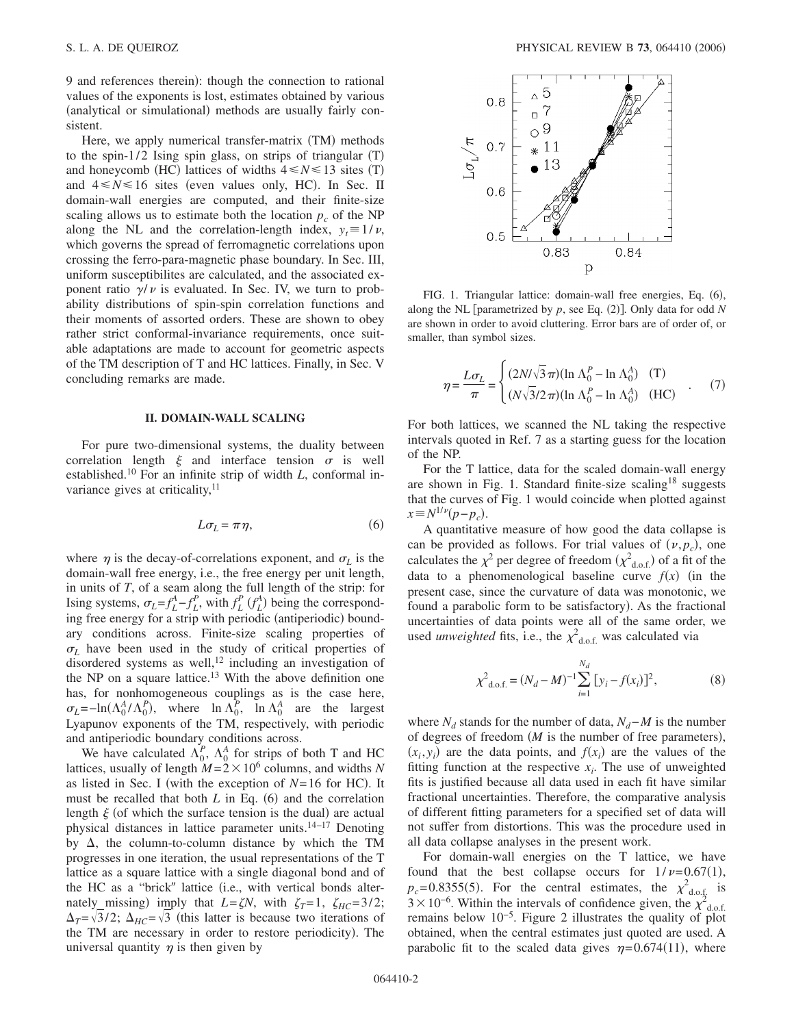9 and references therein): though the connection to rational values of the exponents is lost, estimates obtained by various (analytical or simulational) methods are usually fairly consistent.

Here, we apply numerical transfer-matrix (TM) methods to the spin-1/2 Ising spin glass, on strips of triangular  $(T)$ and honeycomb (HC) lattices of widths  $4 \le N \le 13$  sites (T) and  $4 \le N \le 16$  sites (even values only, HC). In Sec. II domain-wall energies are computed, and their finite-size scaling allows us to estimate both the location  $p_c$  of the NP along the NL and the correlation-length index,  $y_t = 1/v$ , which governs the spread of ferromagnetic correlations upon crossing the ferro-para-magnetic phase boundary. In Sec. III, uniform susceptibilites are calculated, and the associated exponent ratio  $\gamma/\nu$  is evaluated. In Sec. IV, we turn to probability distributions of spin-spin correlation functions and their moments of assorted orders. These are shown to obey rather strict conformal-invariance requirements, once suitable adaptations are made to account for geometric aspects of the TM description of T and HC lattices. Finally, in Sec. V concluding remarks are made.

# **II. DOMAIN-WALL SCALING**

For pure two-dimensional systems, the duality between correlation length  $\xi$  and interface tension  $\sigma$  is well established.10 For an infinite strip of width *L*, conformal invariance gives at criticality, $11$ 

$$
L\sigma_L = \pi \eta,\tag{6}
$$

where  $\eta$  is the decay-of-correlations exponent, and  $\sigma_L$  is the domain-wall free energy, i.e., the free energy per unit length, in units of *T*, of a seam along the full length of the strip: for Ising systems,  $\sigma_L = f_L^A - f_L^P$ , with  $f_L^P$  ( $f_L^A$ ) being the corresponding free energy for a strip with periodic (antiperiodic) boundary conditions across. Finite-size scaling properties of  $\sigma_L$  have been used in the study of critical properties of disordered systems as well,<sup>12</sup> including an investigation of the NP on a square lattice.<sup>13</sup> With the above definition one has, for nonhomogeneous couplings as is the case here,  $\sigma_L = -\ln(\Lambda_0^A/\Lambda_0^P)$ , where  $\ln \Lambda_0^P$ ,  $\ln \Lambda_0^A$  are the largest Lyapunov exponents of the TM, respectively, with periodic and antiperiodic boundary conditions across.

We have calculated  $\Lambda_0^P$ ,  $\Lambda_0^A$  for strips of both T and HC lattices, usually of length  $M = 2 \times 10^6$  columns, and widths *N* as listed in Sec. I (with the exception of  $N=16$  for HC). It must be recalled that both  $L$  in Eq. (6) and the correlation length  $\xi$  (of which the surface tension is the dual) are actual physical distances in lattice parameter units.<sup>14-17</sup> Denoting by  $\Delta$ , the column-to-column distance by which the TM progresses in one iteration, the usual representations of the T lattice as a square lattice with a single diagonal bond and of the HC as a "brick" lattice (i.e., with vertical bonds alternately missing) imply that  $L = \zeta N$ , with  $\zeta_T = 1$ ,  $\zeta_{HC} = 3/2$ ;  $\Delta_T = \sqrt{3}/2$ ;  $\Delta_{HC} = \sqrt{3}$  (this latter is because two iterations of the TM are necessary in order to restore periodicity). The universal quantity  $\eta$  is then given by



FIG. 1. Triangular lattice: domain-wall free energies, Eq. (6), along the NL [parametrized by  $p$ , see Eq.  $(2)$ ]. Only data for odd *N* are shown in order to avoid cluttering. Error bars are of order of, or smaller, than symbol sizes.

$$
\eta = \frac{L\sigma_L}{\pi} = \begin{cases} (2N/\sqrt{3}\pi)(\ln \Lambda_0^P - \ln \Lambda_0^A) & (\text{T}) \\ (N\sqrt{3}/2\pi)(\ln \Lambda_0^P - \ln \Lambda_0^A) & (\text{HC}) \end{cases} (7)
$$

For both lattices, we scanned the NL taking the respective intervals quoted in Ref. 7 as a starting guess for the location of the NP.

For the T lattice, data for the scaled domain-wall energy are shown in Fig. 1. Standard finite-size scaling<sup>18</sup> suggests that the curves of Fig. 1 would coincide when plotted against  $x \equiv N^{1/\nu} (p - p_c)$ .

A quantitative measure of how good the data collapse is can be provided as follows. For trial values of  $(\nu, p_c)$ , one calculates the  $\chi^2$  per degree of freedom  $(\chi^2_{d.o.f.})$  of a fit of the data to a phenomenological baseline curve  $f(x)$  (in the present case, since the curvature of data was monotonic, we found a parabolic form to be satisfactory). As the fractional uncertainties of data points were all of the same order, we used *unweighted* fits, i.e., the  $\chi^2_{\text{d.o.f.}}$  was calculated via

$$
\chi^2_{\text{d.o.f.}} = (N_d - M)^{-1} \sum_{i=1}^{N_d} [y_i - f(x_i)]^2, \tag{8}
$$

where  $N_d$  stands for the number of data,  $N_d$ −*M* is the number of degrees of freedom  $(M$  is the number of free parameters),  $(x_i, y_i)$  are the data points, and  $f(x_i)$  are the values of the fitting function at the respective  $x_i$ . The use of unweighted fits is justified because all data used in each fit have similar fractional uncertainties. Therefore, the comparative analysis of different fitting parameters for a specified set of data will not suffer from distortions. This was the procedure used in all data collapse analyses in the present work.

For domain-wall energies on the T lattice, we have found that the best collapse occurs for  $1/\nu = 0.67(1)$ ,  $p_c$ = 0.8355(5). For the central estimates, the  $\chi^2_{\text{d.o.f.}}$  is  $3 \times 10^{-6}$ . Within the intervals of confidence given, the  $\chi^2_{\text{d.o.f.}}$ <br>remains below 10<sup>-5</sup>. Figure 2 illustrates the quality of plot obtained, when the central estimates just quoted are used. A parabolic fit to the scaled data gives  $\eta = 0.674(11)$ , where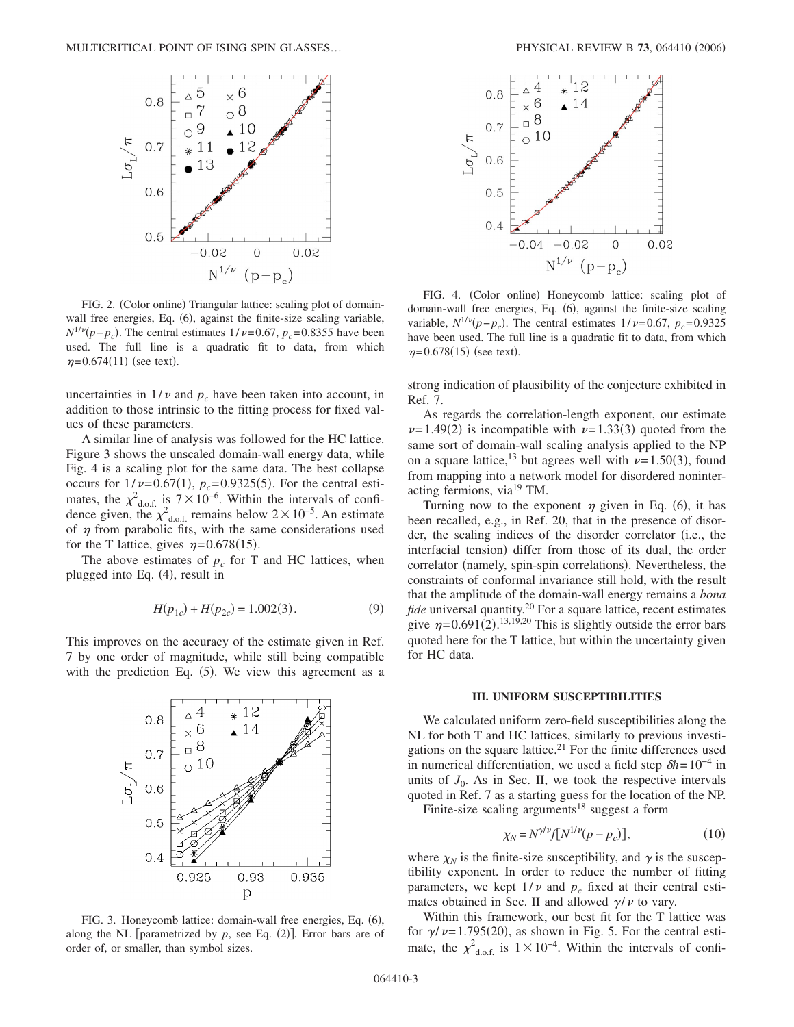

FIG. 2. (Color online) Triangular lattice: scaling plot of domainwall free energies, Eq. (6), against the finite-size scaling variable,  $N^{1/\nu}(p-p_c)$ . The central estimates  $1/\nu=0.67$ ,  $p_c=0.8355$  have been used. The full line is a quadratic fit to data, from which  $\eta = 0.674(11)$  (see text).

uncertainties in  $1/\nu$  and  $p_c$  have been taken into account, in addition to those intrinsic to the fitting process for fixed values of these parameters.

A similar line of analysis was followed for the HC lattice. Figure 3 shows the unscaled domain-wall energy data, while Fig. 4 is a scaling plot for the same data. The best collapse occurs for  $1/\nu = 0.67(1)$ ,  $p_c = 0.9325(5)$ . For the central estimates, the  $\chi^2_{\text{d.o.f.}}$  is  $7\times10^{-6}$ . Within the intervals of confidence given, the  $\chi^2$ <sub>d.o.f.</sub> remains below 2 × 10<sup>-5</sup>. An estimate of  $\eta$  from parabolic fits, with the same considerations used for the T lattice, gives  $\eta = 0.678(15)$ .

The above estimates of  $p_c$  for T and HC lattices, when plugged into Eq. (4), result in

$$
H(p_{1c}) + H(p_{2c}) = 1.002(3). \tag{9}
$$

This improves on the accuracy of the estimate given in Ref. 7 by one order of magnitude, while still being compatible with the prediction Eq. (5). We view this agreement as a



FIG. 3. Honeycomb lattice: domain-wall free energies, Eq. (6), along the NL [parametrized by  $p$ , see Eq.  $(2)$ ]. Error bars are of order of, or smaller, than symbol sizes.



FIG. 4. (Color online) Honeycomb lattice: scaling plot of domain-wall free energies, Eq. (6), against the finite-size scaling variable,  $N^{1/\nu}(p-p_c)$ . The central estimates  $1/\nu = 0.67$ ,  $p_c = 0.9325$ have been used. The full line is a quadratic fit to data, from which  $\eta = 0.678(15)$  (see text).

strong indication of plausibility of the conjecture exhibited in Ref. 7.

As regards the correlation-length exponent, our estimate  $\nu = 1.49(2)$  is incompatible with  $\nu = 1.33(3)$  quoted from the same sort of domain-wall scaling analysis applied to the NP on a square lattice,<sup>13</sup> but agrees well with  $\nu = 1.50(3)$ , found from mapping into a network model for disordered noninteracting fermions, via<sup>19</sup> TM.

Turning now to the exponent  $\eta$  given in Eq. (6), it has been recalled, e.g., in Ref. 20, that in the presence of disorder, the scaling indices of the disorder correlator (i.e., the interfacial tension) differ from those of its dual, the order correlator (namely, spin-spin correlations). Nevertheless, the constraints of conformal invariance still hold, with the result that the amplitude of the domain-wall energy remains a *bona fide* universal quantity.<sup>20</sup> For a square lattice, recent estimates give  $\eta = 0.691(2).^{13,19,20}$  This is slightly outside the error bars quoted here for the T lattice, but within the uncertainty given for HC data.

# **III. UNIFORM SUSCEPTIBILITIES**

We calculated uniform zero-field susceptibilities along the NL for both T and HC lattices, similarly to previous investigations on the square lattice.<sup>21</sup> For the finite differences used in numerical differentiation, we used a field step  $\delta h = 10^{-4}$  in units of  $J_0$ . As in Sec. II, we took the respective intervals quoted in Ref. 7 as a starting guess for the location of the NP.

Finite-size scaling arguments<sup>18</sup> suggest a form

$$
\chi_N = N^{\gamma/\nu} f[N^{1/\nu}(p - p_c)],\tag{10}
$$

where  $\chi_N$  is the finite-size susceptibility, and  $\gamma$  is the susceptibility exponent. In order to reduce the number of fitting parameters, we kept  $1/\nu$  and  $p_c$  fixed at their central estimates obtained in Sec. II and allowed  $\gamma/\nu$  to vary.

Within this framework, our best fit for the T lattice was for  $\gamma/\nu = 1.795(20)$ , as shown in Fig. 5. For the central estimate, the  $\chi^2_{\text{d.o.f.}}$  is  $1 \times 10^{-4}$ . Within the intervals of confi-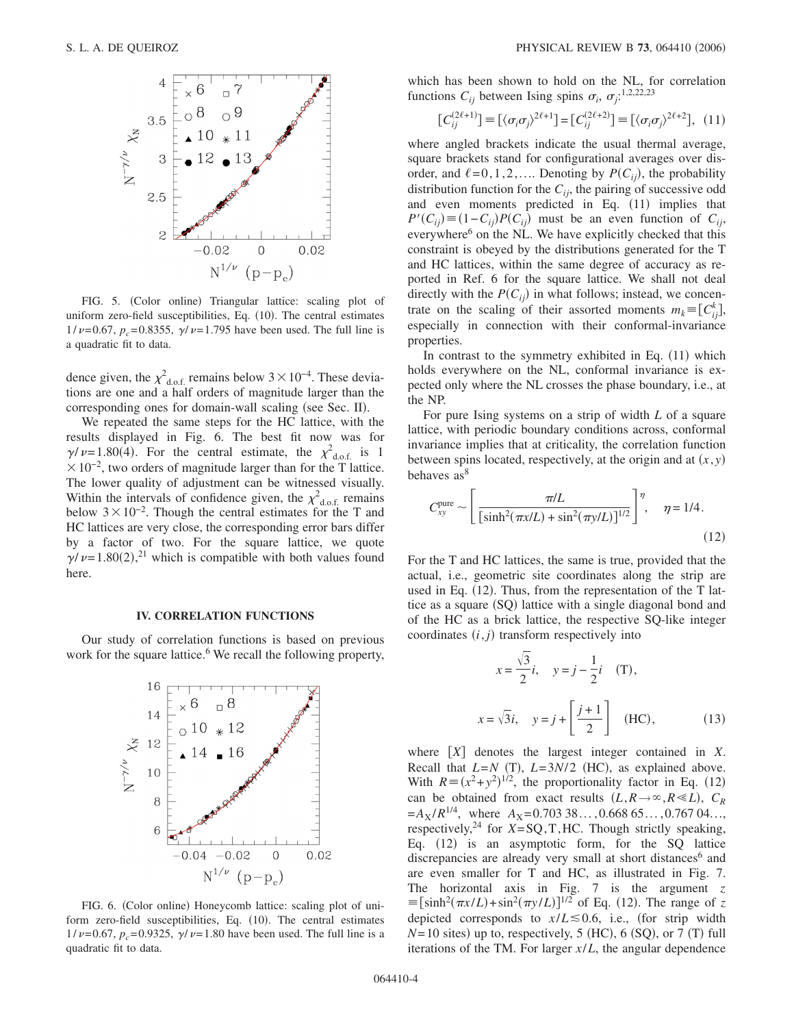

FIG. 5. (Color online) Triangular lattice: scaling plot of uniform zero-field susceptibilities, Eq. (10). The central estimates  $1/\nu = 0.67$ ,  $p_c = 0.8355$ ,  $\gamma/\nu = 1.795$  have been used. The full line is a quadratic fit to data.

dence given, the  $\chi^2_{\text{d.o.f.}}$  remains below 3 × 10<sup>-4</sup>. These deviations are one and a half orders of magnitude larger than the corresponding ones for domain-wall scaling (see Sec. II).

We repeated the same steps for the HC lattice, with the results displayed in Fig. 6. The best fit now was for  $\gamma/\nu = 1.80(4)$ . For the central estimate, the  $\chi^2_{\text{d.o.f.}}$  is 1  $\times 10^{-2}$ , two orders of magnitude larger than for the T lattice. The lower quality of adjustment can be witnessed visually. Within the intervals of confidence given, the  $\chi^2_{\text{d.o.f.}}$  remains below  $3 \times 10^{-2}$ . Though the central estimates for the T and HC lattices are very close, the corresponding error bars differ by a factor of two. For the square lattice, we quote  $\gamma/\nu$ =1.80(2),<sup>21</sup> which is compatible with both values found here.

#### **IV. CORRELATION FUNCTIONS**

Our study of correlation functions is based on previous work for the square lattice.<sup>6</sup> We recall the following property,



FIG. 6. (Color online) Honeycomb lattice: scaling plot of uniform zero-field susceptibilities, Eq. (10). The central estimates  $1/\nu = 0.67$ ,  $p_c = 0.9325$ ,  $\gamma/\nu = 1.80$  have been used. The full line is a quadratic fit to data.

which has been shown to hold on the NL, for correlation functions  $C_{ij}$  between Ising spins  $\sigma_i$ ,  $\sigma_j$ :<sup>1,2,22,23</sup>

$$
\left[C_{ij}^{(2\ell+1)}\right] \equiv \left[\langle\sigma_i\sigma_j\rangle^{2\ell+1}\right] = \left[C_{ij}^{(2\ell+2)}\right] \equiv \left[\langle\sigma_i\sigma_j\rangle^{2\ell+2}\right], (11)
$$

where angled brackets indicate the usual thermal average, square brackets stand for configurational averages over disorder, and  $\ell = 0, 1, 2, \ldots$  Denoting by  $P(C_{ij})$ , the probability distribution function for the  $C_{ij}$ , the pairing of successive odd and even moments predicted in Eq. (11) implies that  $P'(C_{ij}) \equiv (1 - C_{ij})P(C_{ij})$  must be an even function of  $C_{ij}$ , everywhere<sup>6</sup> on the NL. We have explicitly checked that this constraint is obeyed by the distributions generated for the T and HC lattices, within the same degree of accuracy as reported in Ref. 6 for the square lattice. We shall not deal directly with the  $P(C_{ij})$  in what follows; instead, we concentrate on the scaling of their assorted moments  $m_k \equiv [C_{ij}^k]$ , especially in connection with their conformal-invariance properties.

In contrast to the symmetry exhibited in Eq.  $(11)$  which holds everywhere on the NL, conformal invariance is expected only where the NL crosses the phase boundary, i.e., at the NP.

For pure Ising systems on a strip of width *L* of a square lattice, with periodic boundary conditions across, conformal invariance implies that at criticality, the correlation function between spins located, respectively, at the origin and at  $(x, y)$ behaves as<sup>8</sup>

$$
C_{xy}^{\text{pure}} \sim \left[ \frac{\pi/L}{\left[ \sinh^2(\pi x/L) + \sin^2(\pi y/L) \right]^{1/2}} \right]^\eta, \quad \eta = 1/4.
$$
\n(12)

For the T and HC lattices, the same is true, provided that the actual, i.e., geometric site coordinates along the strip are used in Eq. (12). Thus, from the representation of the T lattice as a square (SQ) lattice with a single diagonal bond and of the HC as a brick lattice, the respective SQ-like integer coordinates  $(i, j)$  transform respectively into

$$
x = \frac{\sqrt{3}}{2}i, \quad y = j - \frac{1}{2}i \quad (\text{T}),
$$
  

$$
x = \sqrt{3}i, \quad y = j + \left[\frac{j+1}{2}\right] \quad (\text{HC}), \quad (13)
$$

where  $[X]$  denotes the largest integer contained in  $X$ . Recall that  $L=N$  (T),  $L=3N/2$  (HC), as explained above. With  $R = (x^2 + y^2)^{1/2}$ , the proportionality factor in Eq. (12) can be obtained from exact results  $(L, R \rightarrow \infty, R \ll L)$ ,  $C_R$  $=A_X/R^{1/4}$ , where  $A_X=0.70338...$ , 0.668 65..., 0.767 04... respectively,<sup>24</sup> for  $\overline{X} = \text{SQ}, T, \text{HC}$ . Though strictly speaking, Eq. (12) is an asymptotic form, for the SQ lattice discrepancies are already very small at short distances<sup>6</sup> and are even smaller for T and HC, as illustrated in Fig. 7. The horizontal axis in Fig. 7 is the argument *z*  $\equiv [\sinh^2(\pi x/L) + \sin^2(\pi y/L)]^{1/2}$  of Eq. (12). The range of *z* depicted corresponds to  $x/L \le 0.6$ , i.e., (for strip width  $N=10$  sites) up to, respectively, 5 (HC), 6 (SQ), or 7 (T) full iterations of the TM. For larger *x*/*L*, the angular dependence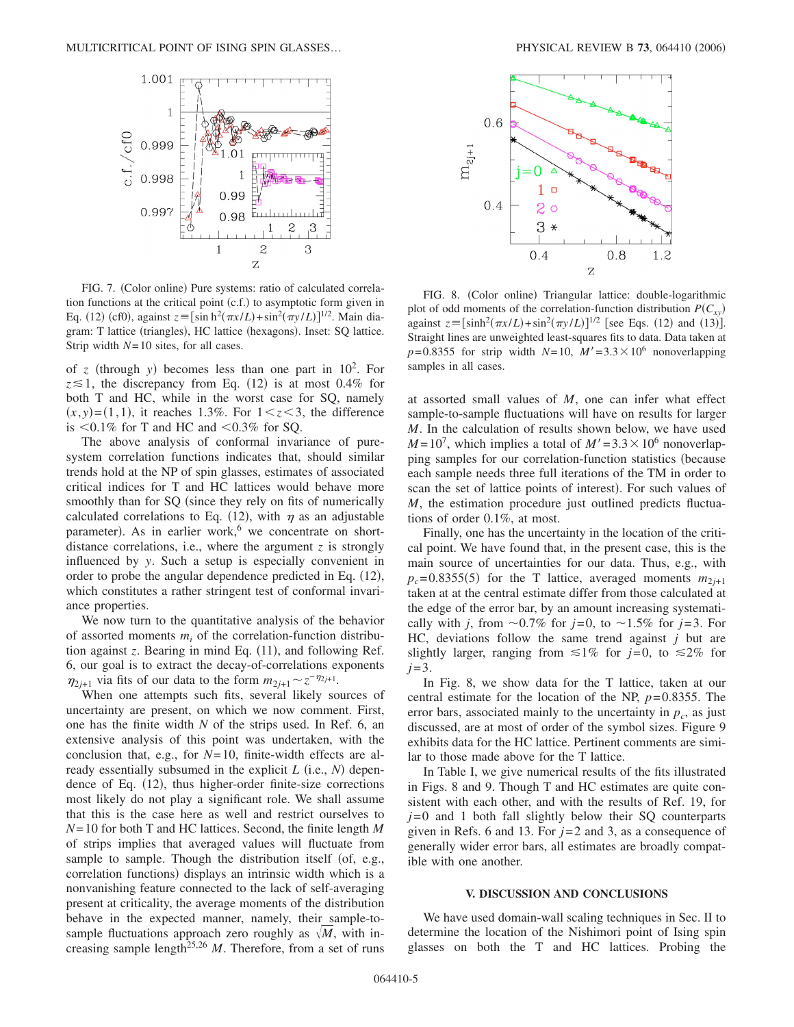

FIG. 7. (Color online) Pure systems: ratio of calculated correlation functions at the critical point (c.f.) to asymptotic form given in Eq. (12) (cf0), against  $z = [\sinh^2(\pi x/L) + \sin^2(\pi y/L)]^{1/2}$ . Main diagram: T lattice (triangles), HC lattice (hexagons). Inset: SQ lattice. Strip width *N*= 10 sites, for all cases.

of *z* (through *y*) becomes less than one part in  $10^2$ . For  $z \le 1$ , the discrepancy from Eq. (12) is at most 0.4% for both T and HC, while in the worst case for SQ, namely  $(x, y) = (1, 1)$ , it reaches 1.3%. For  $1 \le z \le 3$ , the difference is  $0.1\%$  for T and HC and  $0.3\%$  for SQ.

The above analysis of conformal invariance of puresystem correlation functions indicates that, should similar trends hold at the NP of spin glasses, estimates of associated critical indices for T and HC lattices would behave more smoothly than for SQ (since they rely on fits of numerically calculated correlations to Eq. (12), with  $\eta$  as an adjustable parameter). As in earlier work,<sup>6</sup> we concentrate on shortdistance correlations, i.e., where the argument *z* is strongly influenced by *y*. Such a setup is especially convenient in order to probe the angular dependence predicted in Eq. (12), which constitutes a rather stringent test of conformal invariance properties.

We now turn to the quantitative analysis of the behavior of assorted moments  $m_i$  of the correlation-function distribution against *z*. Bearing in mind Eq. (11), and following Ref. 6, our goal is to extract the decay-of-correlations exponents  $\eta_{2j+1}$  via fits of our data to the form  $m_{2j+1} \sim z^{-\eta_{2j+1}}$ .

When one attempts such fits, several likely sources of uncertainty are present, on which we now comment. First, one has the finite width *N* of the strips used. In Ref. 6, an extensive analysis of this point was undertaken, with the conclusion that, e.g., for *N*= 10, finite-width effects are already essentially subsumed in the explicit  $L$  (i.e.,  $N$ ) dependence of Eq. (12), thus higher-order finite-size corrections most likely do not play a significant role. We shall assume that this is the case here as well and restrict ourselves to *N*= 10 for both T and HC lattices. Second, the finite length *M* of strips implies that averaged values will fluctuate from sample to sample. Though the distribution itself (of, e.g., correlation functions) displays an intrinsic width which is a nonvanishing feature connected to the lack of self-averaging present at criticality, the average moments of the distribution behave in the expected manner, namely, their sample-tosample fluctuations approach zero roughly as  $\sqrt{M}$ , with increasing sample length<sup>25,26</sup>  $M$ . Therefore, from a set of runs



FIG. 8. (Color online) Triangular lattice: double-logarithmic plot of odd moments of the correlation-function distribution  $P(C_{xy})$ against  $z = [\sinh^2(\pi x/L) + \sin^2(\pi y/L)]^{1/2}$  [see Eqs. (12) and (13)]. Straight lines are unweighted least-squares fits to data. Data taken at  $p = 0.8355$  for strip width  $N = 10$ ,  $M' = 3.3 \times 10^6$  nonoverlapping samples in all cases.

at assorted small values of *M*, one can infer what effect sample-to-sample fluctuations will have on results for larger *M*. In the calculation of results shown below, we have used  $M = 10<sup>7</sup>$ , which implies a total of  $M' = 3.3 \times 10<sup>6</sup>$  nonoverlapping samples for our correlation-function statistics (because each sample needs three full iterations of the TM in order to scan the set of lattice points of interest). For such values of *M*, the estimation procedure just outlined predicts fluctuations of order 0.1%, at most.

Finally, one has the uncertainty in the location of the critical point. We have found that, in the present case, this is the main source of uncertainties for our data. Thus, e.g., with  $p_c$ = 0.8355(5) for the T lattice, averaged moments  $m_{2j+1}$ taken at at the central estimate differ from those calculated at the edge of the error bar, by an amount increasing systematically with *j*, from  $\sim 0.7\%$  for *j*=0, to  $\sim 1.5\%$  for *j*=3. For HC, deviations follow the same trend against *j* but are slightly larger, ranging from  $\leq 1\%$  for *j*=0, to  $\leq 2\%$  for *j*=3.

In Fig. 8, we show data for the T lattice, taken at our central estimate for the location of the NP, *p*= 0.8355. The error bars, associated mainly to the uncertainty in  $p_c$ , as just discussed, are at most of order of the symbol sizes. Figure 9 exhibits data for the HC lattice. Pertinent comments are similar to those made above for the T lattice.

In Table I, we give numerical results of the fits illustrated in Figs. 8 and 9. Though T and HC estimates are quite consistent with each other, and with the results of Ref. 19, for *j*= 0 and 1 both fall slightly below their SQ counterparts given in Refs. 6 and 13. For  $j=2$  and 3, as a consequence of generally wider error bars, all estimates are broadly compatible with one another.

# **V. DISCUSSION AND CONCLUSIONS**

We have used domain-wall scaling techniques in Sec. II to determine the location of the Nishimori point of Ising spin glasses on both the T and HC lattices. Probing the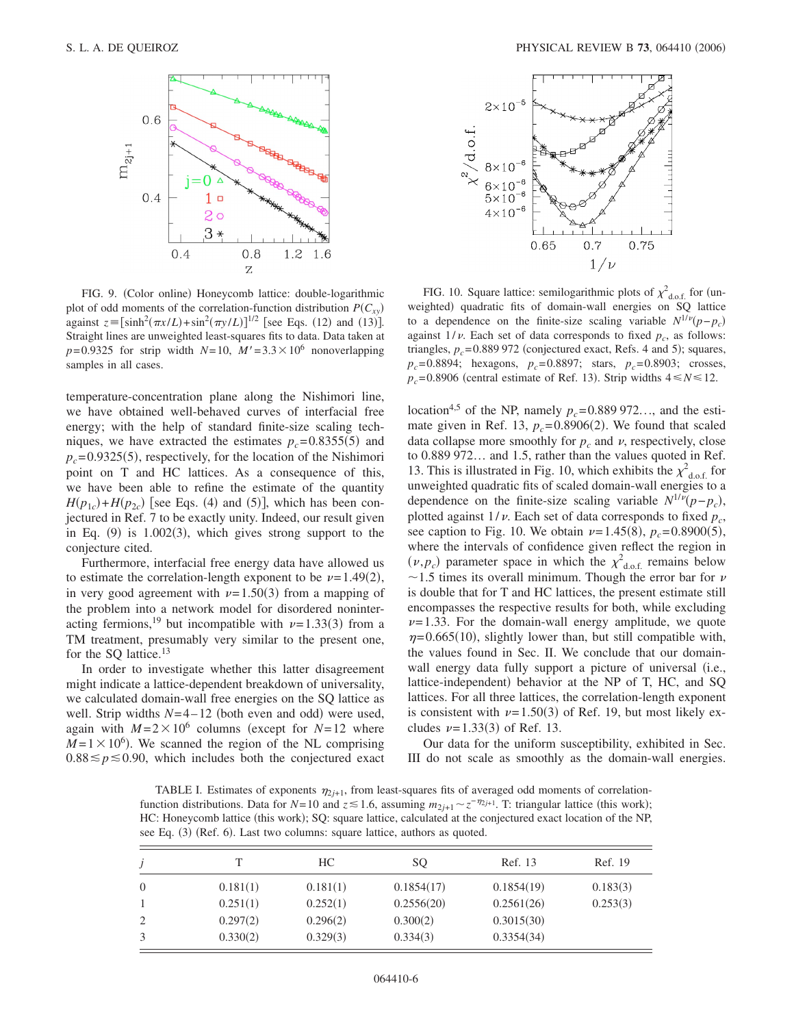

FIG. 9. (Color online) Honeycomb lattice: double-logarithmic plot of odd moments of the correlation-function distribution  $P(C_{xy})$ against  $z = [\sinh^2(\pi x/L) + \sin^2(\pi y/L)]^{1/2}$  [see Eqs. (12) and (13)]. Straight lines are unweighted least-squares fits to data. Data taken at  $p=0.9325$  for strip width  $N=10$ ,  $M'=3.3\times10^6$  nonoverlapping samples in all cases.

temperature-concentration plane along the Nishimori line, we have obtained well-behaved curves of interfacial free energy; with the help of standard finite-size scaling techniques, we have extracted the estimates  $p_c = 0.8355(5)$  and  $p_c$ =0.9325(5), respectively, for the location of the Nishimori point on T and HC lattices. As a consequence of this, we have been able to refine the estimate of the quantity  $H(p_{1c}) + H(p_{2c})$  [see Eqs. (4) and (5)], which has been conjectured in Ref. 7 to be exactly unity. Indeed, our result given in Eq.  $(9)$  is 1.002 $(3)$ , which gives strong support to the conjecture cited.

Furthermore, interfacial free energy data have allowed us to estimate the correlation-length exponent to be  $\nu = 1.49(2)$ , in very good agreement with  $\nu = 1.50(3)$  from a mapping of the problem into a network model for disordered noninteracting fermions,<sup>19</sup> but incompatible with  $\nu = 1.33(3)$  from a TM treatment, presumably very similar to the present one, for the SQ lattice.<sup>13</sup>

In order to investigate whether this latter disagreement might indicate a lattice-dependent breakdown of universality, we calculated domain-wall free energies on the SQ lattice as well. Strip widths  $N=4-12$  (both even and odd) were used, again with  $M = 2 \times 10^6$  columns (except for  $N = 12$  where  $M = 1 \times 10^6$ ). We scanned the region of the NL comprising  $0.88 \leq p \leq 0.90$ , which includes both the conjectured exact



FIG. 10. Square lattice: semilogarithmic plots of  $\chi^2_{\text{d.o.f.}}$  for (unweighted) quadratic fits of domain-wall energies on SQ lattice to a dependence on the finite-size scaling variable  $N^{1/\nu}(p-p_c)$ against  $1/\nu$ . Each set of data corresponds to fixed  $p_c$ , as follows: triangles,  $p_c = 0.889972$  (conjectured exact, Refs. 4 and 5); squares,  $p_c$ = 0.8894; hexagons,  $p_c$ = 0.8897; stars,  $p_c$ = 0.8903; crosses,  $p_c$ = 0.8906 (central estimate of Ref. 13). Strip widths  $4 \le N \le 12$ .

location<sup>4,5</sup> of the NP, namely  $p_c = 0.889972...$ , and the estimate given in Ref. 13,  $p_c = 0.8906(2)$ . We found that scaled data collapse more smoothly for  $p_c$  and  $\nu$ , respectively, close to 0.889 972… and 1.5, rather than the values quoted in Ref. 13. This is illustrated in Fig. 10, which exhibits the  $\chi^2_{\text{d.o.f.}}$  for unweighted quadratic fits of scaled domain-wall energies to a dependence on the finite-size scaling variable  $N^{1/\nu}(p-p_c)$ , plotted against  $1/\nu$ . Each set of data corresponds to fixed  $p_c$ , see caption to Fig. 10. We obtain  $\nu = 1.45(8)$ ,  $p_c = 0.8900(5)$ , where the intervals of confidence given reflect the region in  $(\nu, p_c)$  parameter space in which the  $\chi^2_{\text{d.o.f.}}$  remains below  $\sim$ 1.5 times its overall minimum. Though the error bar for  $\nu$ is double that for T and HC lattices, the present estimate still encompasses the respective results for both, while excluding  $\nu$ = 1.33. For the domain-wall energy amplitude, we quote  $\eta = 0.665(10)$ , slightly lower than, but still compatible with, the values found in Sec. II. We conclude that our domainwall energy data fully support a picture of universal (i.e., lattice-independent) behavior at the NP of T, HC, and SQ lattices. For all three lattices, the correlation-length exponent is consistent with  $\nu = 1.50(3)$  of Ref. 19, but most likely excludes  $\nu = 1.33(3)$  of Ref. 13.

Our data for the uniform susceptibility, exhibited in Sec. III do not scale as smoothly as the domain-wall energies.

TABLE I. Estimates of exponents  $\eta_{2j+1}$ , from least-squares fits of averaged odd moments of correlationfunction distributions. Data for  $N=10$  and  $z \le 1.6$ , assuming  $m_{2j+1} \sim z^{-\eta_{2j+1}}$ . T: triangular lattice (this work); HC: Honeycomb lattice (this work); SQ: square lattice, calculated at the conjectured exact location of the NP, see Eq. (3) (Ref. 6). Last two columns: square lattice, authors as quoted.

|          |          | HС       | SO         | Ref. 13    | Ref. 19  |
|----------|----------|----------|------------|------------|----------|
| $\theta$ | 0.181(1) | 0.181(1) | 0.1854(17) | 0.1854(19) | 0.183(3) |
|          | 0.251(1) | 0.252(1) | 0.2556(20) | 0.2561(26) | 0.253(3) |
| 2        | 0.297(2) | 0.296(2) | 0.300(2)   | 0.3015(30) |          |
|          | 0.330(2) | 0.329(3) | 0.334(3)   | 0.3354(34) |          |